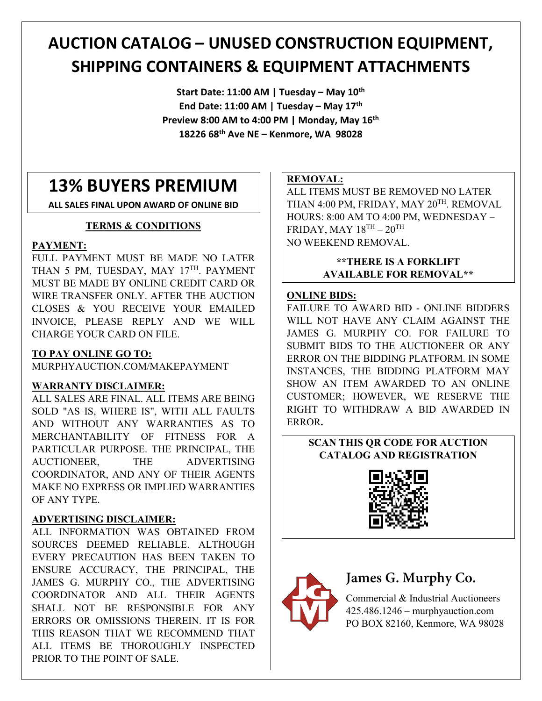# **AUCTION CATALOG – UNUSED CONSTRUCTION EQUIPMENT, SHIPPING CONTAINERS & EQUIPMENT ATTACHMENTS**

**Start Date: 11:00 AM | Tuesday – May 10th End Date: 11:00 AM | Tuesday – May 17th Preview 8:00 AM to 4:00 PM | Monday, May 16th 18226 68th Ave NE – Kenmore, WA 98028**

# **13% BUYERS PREMIUM**

**ALL SALES FINAL UPON AWARD OF ONLINE BID**

### **TERMS & CONDITIONS**

### **PAYMENT:**

FULL PAYMENT MUST BE MADE NO LATER THAN 5 PM, TUESDAY, MAY 17TH, PAYMENT MUST BE MADE BY ONLINE CREDIT CARD OR WIRE TRANSFER ONLY. AFTER THE AUCTION CLOSES & YOU RECEIVE YOUR EMAILED INVOICE, PLEASE REPLY AND WE WILL CHARGE YOUR CARD ON FILE.

### **TO PAY ONLINE GO TO:**

MURPHYAUCTION.COM/MAKEPAYMENT

### **WARRANTY DISCLAIMER:**

ALL SALES ARE FINAL. ALL ITEMS ARE BEING SOLD "AS IS, WHERE IS", WITH ALL FAULTS AND WITHOUT ANY WARRANTIES AS TO MERCHANTABILITY OF FITNESS FOR A PARTICULAR PURPOSE. THE PRINCIPAL, THE AUCTIONEER, THE ADVERTISING COORDINATOR, AND ANY OF THEIR AGENTS MAKE NO EXPRESS OR IMPLIED WARRANTIES OF ANY TYPE.

### **ADVERTISING DISCLAIMER:**

ALL INFORMATION WAS OBTAINED FROM SOURCES DEEMED RELIABLE. ALTHOUGH EVERY PRECAUTION HAS BEEN TAKEN TO ENSURE ACCURACY, THE PRINCIPAL, THE JAMES G. MURPHY CO., THE ADVERTISING COORDINATOR AND ALL THEIR AGENTS SHALL NOT BE RESPONSIBLE FOR ANY ERRORS OR OMISSIONS THEREIN. IT IS FOR THIS REASON THAT WE RECOMMEND THAT ALL ITEMS BE THOROUGHLY INSPECTED PRIOR TO THE POINT OF SALE.

### **REMOVAL:**

ALL ITEMS MUST BE REMOVED NO LATER THAN 4:00 PM, FRIDAY, MAY 20<sup>TH</sup>. REMOVAL HOURS: 8:00 AM TO 4:00 PM, WEDNESDAY – FRIDAY, MAY  $18^{TH} - 20^{TH}$ NO WEEKEND REMOVAL.

### **\*\*THERE IS A FORKLIFT AVAILABLE FOR REMOVAL\*\***

### **ONLINE BIDS:**

FAILURE TO AWARD BID - ONLINE BIDDERS WILL NOT HAVE ANY CLAIM AGAINST THE JAMES G. MURPHY CO. FOR FAILURE TO SUBMIT BIDS TO THE AUCTIONEER OR ANY ERROR ON THE BIDDING PLATFORM. IN SOME INSTANCES, THE BIDDING PLATFORM MAY SHOW AN ITEM AWARDED TO AN ONLINE CUSTOMER; HOWEVER, WE RESERVE THE RIGHT TO WITHDRAW A BID AWARDED IN ERROR**.** 

### **SCAN THIS QR CODE FOR AUCTION CATALOG AND REGISTRATION**





# **James G. Murphy Co.**

Commercial & Industrial Auctioneers 425.486.1246 – murphyauction.com PO BOX 82160, Kenmore, WA 98028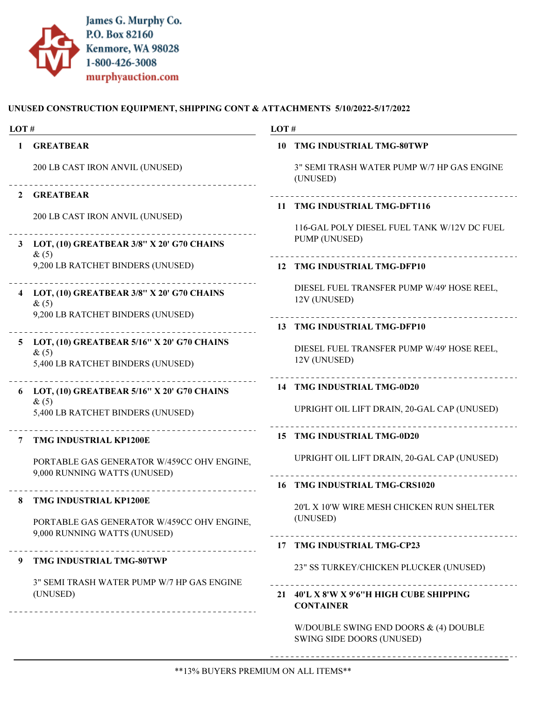

### UNUSED CONSTRUCTION EQUIPMENT, SHIPPING CONT & ATTACHMENTS 5/10/2022-5/17/2022

| LOT#           |                                                                                               | LOT#                                                                        |  |
|----------------|-----------------------------------------------------------------------------------------------|-----------------------------------------------------------------------------|--|
| $\mathbf{1}$   | <b>GREATBEAR</b>                                                                              | 10 TMG INDUSTRIAL TMG-80TWP                                                 |  |
|                | 200 LB CAST IRON ANVIL (UNUSED)<br>-----------------------------------                        | 3" SEMI TRASH WATER PUMP W/7 HP GAS ENGINE<br>(UNUSED)                      |  |
| $\mathbf{2}$   | <b>GREATBEAR</b>                                                                              |                                                                             |  |
|                | 200 LB CAST IRON ANVIL (UNUSED)                                                               | 11 TMG INDUSTRIAL TMG-DFT116<br>116-GAL POLY DIESEL FUEL TANK W/12V DC FUEL |  |
|                | 3 LOT, (10) GREATBEAR 3/8" X 20' G70 CHAINS<br>$\&(5)$                                        | PUMP (UNUSED)                                                               |  |
|                | 9,200 LB RATCHET BINDERS (UNUSED)                                                             | 12 TMG INDUSTRIAL TMG-DFP10                                                 |  |
|                | 4 LOT, (10) GREATBEAR 3/8" X 20' G70 CHAINS<br>$\&(5)$                                        | DIESEL FUEL TRANSFER PUMP W/49' HOSE REEL,<br>12V (UNUSED)                  |  |
|                | 9,200 LB RATCHET BINDERS (UNUSED)                                                             | 13 TMG INDUSTRIAL TMG-DFP10                                                 |  |
| 5 <sup>5</sup> | LOT, (10) GREATBEAR 5/16" X 20' G70 CHAINS<br>$\&(5)$<br>5,400 LB RATCHET BINDERS (UNUSED)    | DIESEL FUEL TRANSFER PUMP W/49' HOSE REEL,<br>12V (UNUSED)                  |  |
|                | 6 LOT, (10) GREATBEAR 5/16" X 20' G70 CHAINS                                                  | 14 TMG INDUSTRIAL TMG-0D20                                                  |  |
|                | $\&(5)$<br>5,400 LB RATCHET BINDERS (UNUSED)                                                  | UPRIGHT OIL LIFT DRAIN, 20-GAL CAP (UNUSED)                                 |  |
| 7              | <b>TMG INDUSTRIAL KP1200E</b>                                                                 | 15 TMG INDUSTRIAL TMG-0D20                                                  |  |
|                | PORTABLE GAS GENERATOR W/459CC OHV ENGINE,<br>9,000 RUNNING WATTS (UNUSED)                    | UPRIGHT OIL LIFT DRAIN, 20-GAL CAP (UNUSED)                                 |  |
|                |                                                                                               | 16 TMG INDUSTRIAL TMG-CRS1020                                               |  |
|                | TMG INDUSTRIAL KP1200E                                                                        | 20'L X 10'W WIRE MESH CHICKEN RUN SHELTER                                   |  |
|                | PORTABLE GAS GENERATOR W/459CC OHV ENGINE,<br>9,000 RUNNING WATTS (UNUSED)                    | (UNUSED)                                                                    |  |
|                |                                                                                               | 17 TMG INDUSTRIAL TMG-CP23                                                  |  |
| 9              | TMG INDUSTRIAL TMG-80TWP                                                                      | 23" SS TURKEY/CHICKEN PLUCKER (UNUSED)                                      |  |
|                | 3" SEMI TRASH WATER PUMP W/7 HP GAS ENGINE<br>(UNUSED)<br>___________________________________ | 21 40'L X 8'W X 9'6"H HIGH CUBE SHIPPING<br><b>CONTAINER</b>                |  |
|                |                                                                                               | W/DOUBLE SWING END DOORS $\&$ (4) DOUBLE<br>SWING SIDE DOORS (UNUSED)       |  |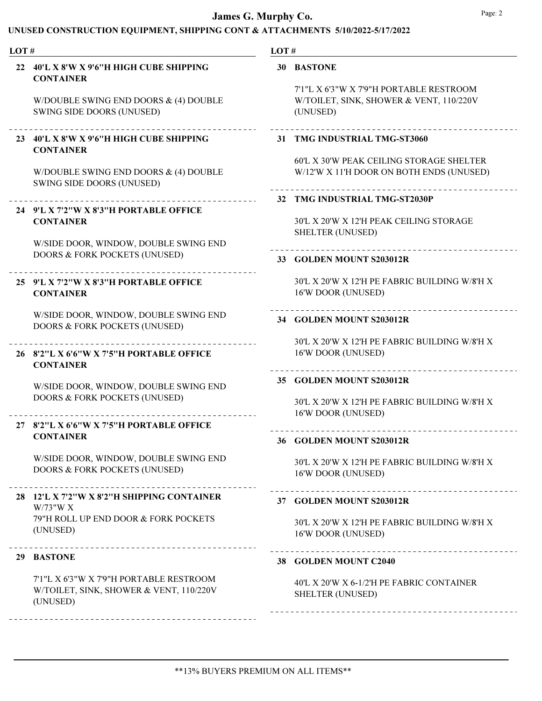| LOT# |                                                                                                | LOT# |                                                                                             |
|------|------------------------------------------------------------------------------------------------|------|---------------------------------------------------------------------------------------------|
| 22   | 40'L X 8'W X 9'6"H HIGH CUBE SHIPPING<br><b>CONTAINER</b>                                      |      | 30 BASTONE<br>7'1"L X 6'3"W X 7'9"H PORTABLE RESTROOM                                       |
|      | W/DOUBLE SWING END DOORS & (4) DOUBLE<br>SWING SIDE DOORS (UNUSED)                             |      | W/TOILET, SINK, SHOWER & VENT, 110/220V<br>(UNUSED)                                         |
|      | 23 40'L X 8'W X 9'6"H HIGH CUBE SHIPPING<br><b>CONTAINER</b>                                   |      | 31 TMG INDUSTRIAL TMG-ST3060                                                                |
|      | W/DOUBLE SWING END DOORS & (4) DOUBLE<br>SWING SIDE DOORS (UNUSED)                             |      | <b>60'L X 30'W PEAK CEILING STORAGE SHELTER</b><br>W/12'W X 11'H DOOR ON BOTH ENDS (UNUSED) |
|      |                                                                                                |      | 32 TMG INDUSTRIAL TMG-ST2030P                                                               |
|      | 24 9'L X 7'2"W X 8'3"H PORTABLE OFFICE<br><b>CONTAINER</b>                                     |      | 30'L X 20'W X 12'H PEAK CEILING STORAGE<br><b>SHELTER (UNUSED)</b>                          |
|      | W/SIDE DOOR, WINDOW, DOUBLE SWING END<br><b>DOORS &amp; FORK POCKETS (UNUSED)</b>              |      | 33 GOLDEN MOUNT S203012R                                                                    |
|      | 25 9'L X 7'2"W X 8'3"H PORTABLE OFFICE<br><b>CONTAINER</b>                                     |      | 30'L X 20'W X 12'H PE FABRIC BUILDING W/8'H X<br>16'W DOOR (UNUSED)                         |
|      | W/SIDE DOOR, WINDOW, DOUBLE SWING END<br>DOORS & FORK POCKETS (UNUSED)                         |      | 34 GOLDEN MOUNT S203012R                                                                    |
|      | 26 8'2"L X 6'6"W X 7'5"H PORTABLE OFFICE<br><b>CONTAINER</b>                                   |      | 30'L X 20'W X 12'H PE FABRIC BUILDING W/8'H X<br>16'W DOOR (UNUSED)                         |
|      | W/SIDE DOOR, WINDOW, DOUBLE SWING END<br>DOORS & FORK POCKETS (UNUSED)                         |      | 35 GOLDEN MOUNT S203012R<br>30'L X 20'W X 12'H PE FABRIC BUILDING W/8'H X                   |
|      | 27 8'2"L X 6'6"W X 7'5"H PORTABLE OFFICE                                                       |      | 16'W DOOR (UNUSED)                                                                          |
|      | <b>CONTAINER</b>                                                                               |      | 36 GOLDEN MOUNT S203012R                                                                    |
|      | W/SIDE DOOR, WINDOW, DOUBLE SWING END<br>DOORS & FORK POCKETS (UNUSED)                         |      | 30'L X 20'W X 12'H PE FABRIC BUILDING W/8'H X<br>16'W DOOR (UNUSED)                         |
|      | 28 12'L X 7'2"W X 8'2"H SHIPPING CONTAINER<br>W/73"W X                                         |      | 37 GOLDEN MOUNT S203012R                                                                    |
|      | 79"H ROLL UP END DOOR & FORK POCKETS<br>(UNUSED)                                               |      | 30'L X 20'W X 12'H PE FABRIC BUILDING W/8'H X<br>16'W DOOR (UNUSED)                         |
|      | 29 BASTONE                                                                                     |      | 38 GOLDEN MOUNT C2040                                                                       |
|      | 7'1"L X 6'3"W X 7'9"H PORTABLE RESTROOM<br>W/TOILET, SINK, SHOWER & VENT, 110/220V<br>(UNUSED) |      | 40'L X 20'W X 6-1/2'H PE FABRIC CONTAINER<br><b>SHELTER (UNUSED)</b>                        |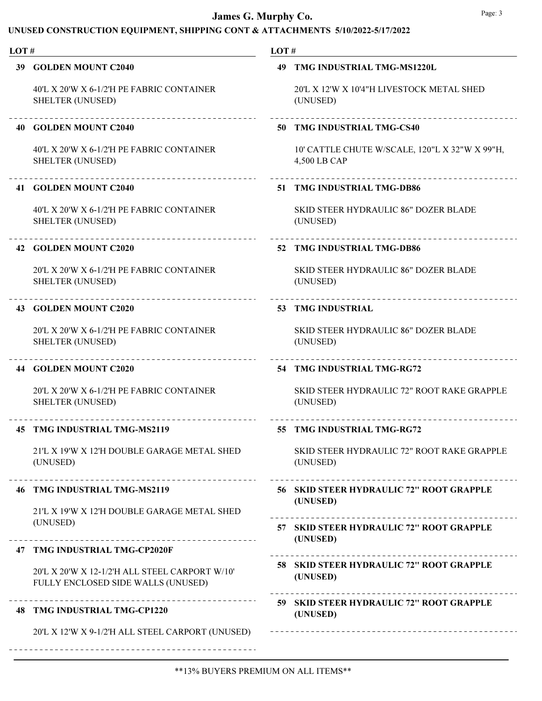| LOT# |                                                                                      | LOT# |                                                                |
|------|--------------------------------------------------------------------------------------|------|----------------------------------------------------------------|
|      | 39 GOLDEN MOUNT C2040                                                                |      | 49 TMG INDUSTRIAL TMG-MS1220L                                  |
|      | 40'L X 20'W X 6-1/2'H PE FABRIC CONTAINER<br><b>SHELTER (UNUSED)</b>                 |      | 20'L X 12'W X 10'4"H LIVESTOCK METAL SHED<br>(UNUSED)          |
|      | ___________________________<br><b>40 GOLDEN MOUNT C2040</b>                          |      | .<br>50 TMG INDUSTRIAL TMG-CS40                                |
|      | 40'L X 20'W X 6-1/2'H PE FABRIC CONTAINER<br><b>SHELTER (UNUSED)</b>                 |      | 10' CATTLE CHUTE W/SCALE, 120"L X 32"W X 99"H,<br>4,500 LB CAP |
|      | --------------------------------<br>41 GOLDEN MOUNT C2040                            |      | 51 TMG INDUSTRIAL TMG-DB86                                     |
|      | 40'L X 20'W X 6-1/2'H PE FABRIC CONTAINER<br><b>SHELTER (UNUSED)</b>                 |      | <b>SKID STEER HYDRAULIC 86" DOZER BLADE</b><br>(UNUSED)        |
|      | 42 GOLDEN MOUNT C2020                                                                |      | 52 TMG INDUSTRIAL TMG-DB86                                     |
|      | 20'L X 20'W X 6-1/2'H PE FABRIC CONTAINER<br><b>SHELTER (UNUSED)</b>                 |      | <b>SKID STEER HYDRAULIC 86" DOZER BLADE</b><br>(UNUSED)        |
|      | 43 GOLDEN MOUNT C2020                                                                |      | <b>53 TMG INDUSTRIAL</b>                                       |
|      | 20'L X 20'W X 6-1/2'H PE FABRIC CONTAINER<br><b>SHELTER (UNUSED)</b>                 |      | <b>SKID STEER HYDRAULIC 86" DOZER BLADE</b><br>(UNUSED)        |
|      | __________________________<br>44 GOLDEN MOUNT C2020                                  |      | 54 TMG INDUSTRIAL TMG-RG72                                     |
|      | 20'L X 20'W X 6-1/2'H PE FABRIC CONTAINER<br><b>SHELTER (UNUSED)</b>                 |      | SKID STEER HYDRAULIC 72" ROOT RAKE GRAPPLE<br>(UNUSED)         |
|      | 45 TMG INDUSTRIAL TMG-MS2119                                                         |      | 55 TMG INDUSTRIAL TMG-RG72                                     |
|      | 21'L X 19'W X 12'H DOUBLE GARAGE METAL SHED<br>(UNUSED)                              |      | SKID STEER HYDRAULIC 72" ROOT RAKE GRAPPLE<br>(UNUSED)         |
|      | 46 TMG INDUSTRIAL TMG-MS2119                                                         |      | 56 SKID STEER HYDRAULIC 72" ROOT GRAPPLE                       |
|      | 21'L X 19'W X 12'H DOUBLE GARAGE METAL SHED<br>(UNUSED)                              |      | (UNUSED)                                                       |
|      |                                                                                      |      | 57 SKID STEER HYDRAULIC 72" ROOT GRAPPLE<br>(UNUSED)           |
|      | 47 TMG INDUSTRIAL TMG-CP2020F                                                        |      | <b>58 SKID STEER HYDRAULIC 72" ROOT GRAPPLE</b>                |
|      | 20'L X 20'W X 12-1/2'H ALL STEEL CARPORT W/10'<br>FULLY ENCLOSED SIDE WALLS (UNUSED) |      | (UNUSED)                                                       |
|      | 48 TMG INDUSTRIAL TMG-CP1220                                                         |      | 59 SKID STEER HYDRAULIC 72" ROOT GRAPPLE<br>(UNUSED)           |
|      | 20'L X 12'W X 9-1/2'H ALL STEEL CARPORT (UNUSED)                                     |      |                                                                |
|      |                                                                                      |      |                                                                |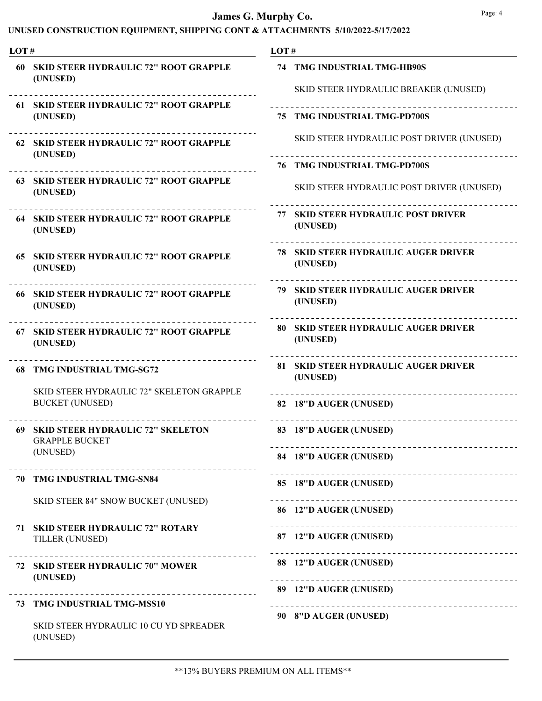| LOT# |                                                                                   | LOT#                                                                             |  |  |
|------|-----------------------------------------------------------------------------------|----------------------------------------------------------------------------------|--|--|
|      | 60 SKID STEER HYDRAULIC 72" ROOT GRAPPLE<br>(UNUSED)                              | 74 TMG INDUSTRIAL TMG-HB90S<br>SKID STEER HYDRAULIC BREAKER (UNUSED)             |  |  |
|      | 61 SKID STEER HYDRAULIC 72" ROOT GRAPPLE<br>(UNUSED)                              | 75 TMG INDUSTRIAL TMG-PD700S                                                     |  |  |
|      | 62 SKID STEER HYDRAULIC 72" ROOT GRAPPLE<br>(UNUSED)                              | SKID STEER HYDRAULIC POST DRIVER (UNUSED)                                        |  |  |
|      | <b>63 SKID STEER HYDRAULIC 72" ROOT GRAPPLE</b><br>(UNUSED)                       | <b>76 TMG INDUSTRIAL TMG-PD700S</b><br>SKID STEER HYDRAULIC POST DRIVER (UNUSED) |  |  |
|      | <b>64 SKID STEER HYDRAULIC 72" ROOT GRAPPLE</b><br>(UNUSED)                       | <b>77 SKID STEER HYDRAULIC POST DRIVER</b><br>(UNUSED)                           |  |  |
|      | 65 SKID STEER HYDRAULIC 72" ROOT GRAPPLE<br>(UNUSED)                              | <b>78 SKID STEER HYDRAULIC AUGER DRIVER</b><br>(UNUSED)                          |  |  |
|      | 66 SKID STEER HYDRAULIC 72" ROOT GRAPPLE<br>(UNUSED)                              | 79 SKID STEER HYDRAULIC AUGER DRIVER<br>(UNUSED)                                 |  |  |
|      | 67 SKID STEER HYDRAULIC 72" ROOT GRAPPLE<br>(UNUSED)                              | <b>80 SKID STEER HYDRAULIC AUGER DRIVER</b><br>(UNUSED)                          |  |  |
| 68   | <b>TMG INDUSTRIAL TMG-SG72</b>                                                    | 81 SKID STEER HYDRAULIC AUGER DRIVER<br>(UNUSED)                                 |  |  |
|      | SKID STEER HYDRAULIC 72" SKELETON GRAPPLE<br><b>BUCKET (UNUSED)</b>               | ----------------------------------<br>82 18"D AUGER (UNUSED)                     |  |  |
|      | 69 SKID STEER HYDRAULIC 72" SKELETON<br><b>GRAPPLE BUCKET</b>                     | 83 18"D AUGER (UNUSED)                                                           |  |  |
|      | (UNUSED)                                                                          | 84 18"D AUGER (UNUSED)                                                           |  |  |
|      | 70 TMG INDUSTRIAL TMG-SN84                                                        | 85 18"D AUGER (UNUSED)                                                           |  |  |
|      | <b>SKID STEER 84" SNOW BUCKET (UNUSED)</b>                                        | 86 12"D AUGER (UNUSED)                                                           |  |  |
|      | 71 SKID STEER HYDRAULIC 72" ROTARY<br>TILLER (UNUSED)                             | 87 12"D AUGER (UNUSED)                                                           |  |  |
|      | 72 SKID STEER HYDRAULIC 70" MOWER<br>(UNUSED)                                     | 88 12"D AUGER (UNUSED)                                                           |  |  |
|      | 73 TMG INDUSTRIAL TMG-MSS10<br>SKID STEER HYDRAULIC 10 CU YD SPREADER<br>(UNUSED) | 89 12"D AUGER (UNUSED)<br>90 8"D AUGER (UNUSED)                                  |  |  |
|      |                                                                                   |                                                                                  |  |  |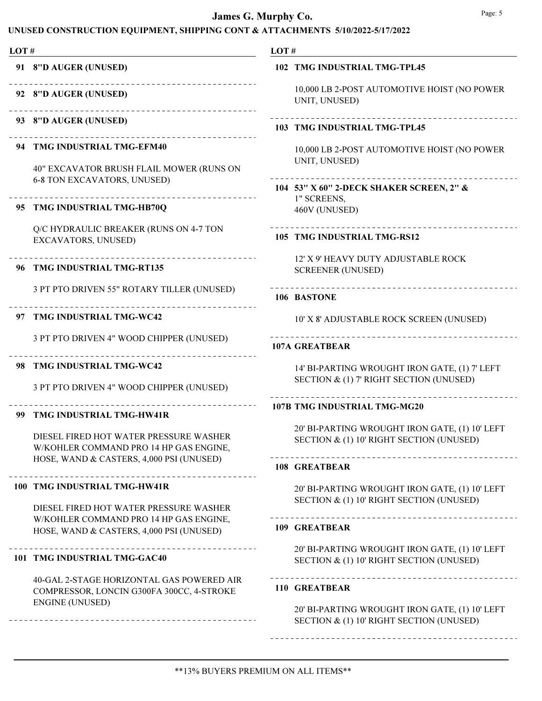| LOT# |                                                                                        | LOT#                                                                                       |
|------|----------------------------------------------------------------------------------------|--------------------------------------------------------------------------------------------|
|      | 91 8"D AUGER (UNUSED)                                                                  | <b>102 TMG INDUSTRIAL TMG-TPL45</b>                                                        |
|      | 92 8"D AUGER (UNUSED)                                                                  | 10,000 LB 2-POST AUTOMOTIVE HOIST (NO POWER<br>UNIT, UNUSED)                               |
|      | 93 8"D AUGER (UNUSED)                                                                  | 103 TMG INDUSTRIAL TMG-TPL45                                                               |
|      | .<br>94 TMG INDUSTRIAL TMG-EFM40<br>40" EXCAVATOR BRUSH FLAIL MOWER (RUNS ON           | 10,000 LB 2-POST AUTOMOTIVE HOIST (NO POWER<br>UNIT, UNUSED)                               |
|      | 6-8 TON EXCAVATORS, UNUSED)                                                            | 104 53" X 60" 2-DECK SHAKER SCREEN, 2" &<br>1" SCREENS,                                    |
|      | 95 TMG INDUSTRIAL TMG-HB70Q                                                            | 460V (UNUSED)                                                                              |
|      | Q/C HYDRAULIC BREAKER (RUNS ON 4-7 TON<br>EXCAVATORS, UNUSED)                          | 105 TMG INDUSTRIAL TMG-RS12                                                                |
|      | 96 TMG INDUSTRIAL TMG-RT135                                                            | 12' X 9' HEAVY DUTY ADJUSTABLE ROCK<br><b>SCREENER (UNUSED)</b>                            |
|      | 3 PT PTO DRIVEN 55" ROTARY TILLER (UNUSED)                                             | ____________________________<br>106 BASTONE                                                |
| 97   | TMG INDUSTRIAL TMG-WC42                                                                | 10' X 8' ADJUSTABLE ROCK SCREEN (UNUSED)                                                   |
|      | 3 PT PTO DRIVEN 4" WOOD CHIPPER (UNUSED)                                               | -------------------------------<br><b>107A GREATBEAR</b>                                   |
|      | 98 TMG INDUSTRIAL TMG-WC42                                                             | 14' BI-PARTING WROUGHT IRON GATE, (1) 7' LEFT                                              |
|      | 3 PT PTO DRIVEN 4" WOOD CHIPPER (UNUSED)                                               | SECTION & (1) 7' RIGHT SECTION (UNUSED)                                                    |
|      | 99 TMG INDUSTRIAL TMG-HW41R                                                            | 107B TMG INDUSTRIAL TMG-MG20                                                               |
|      | DIESEL FIRED HOT WATER PRESSURE WASHER<br>W/KOHLER COMMAND PRO 14 HP GAS ENGINE,       | 20' BI-PARTING WROUGHT IRON GATE, (1) 10' LEFT<br>SECTION & (1) 10' RIGHT SECTION (UNUSED) |
|      | HOSE, WAND & CASTERS, 4,000 PSI (UNUSED)                                               | 108 GREATBEAR                                                                              |
|      | 100 TMG INDUSTRIAL TMG-HW41R                                                           | 20' BI-PARTING WROUGHT IRON GATE, (1) 10' LEFT<br>SECTION & (1) 10' RIGHT SECTION (UNUSED) |
|      | DIESEL FIRED HOT WATER PRESSURE WASHER<br>W/KOHLER COMMAND PRO 14 HP GAS ENGINE,       | 109 GREATBEAR                                                                              |
|      | HOSE, WAND & CASTERS, 4,000 PSI (UNUSED)                                               |                                                                                            |
|      | 101 TMG INDUSTRIAL TMG-GAC40                                                           | 20' BI-PARTING WROUGHT IRON GATE, (1) 10' LEFT<br>SECTION & (1) 10' RIGHT SECTION (UNUSED) |
|      | 40-GAL 2-STAGE HORIZONTAL GAS POWERED AIR<br>COMPRESSOR, LONCIN G300FA 300CC, 4-STROKE | 110 GREATBEAR                                                                              |
|      | <b>ENGINE (UNUSED)</b>                                                                 | 20' BI-PARTING WROUGHT IRON GATE, (1) 10' LEFT<br>SECTION & (1) 10' RIGHT SECTION (UNUSED) |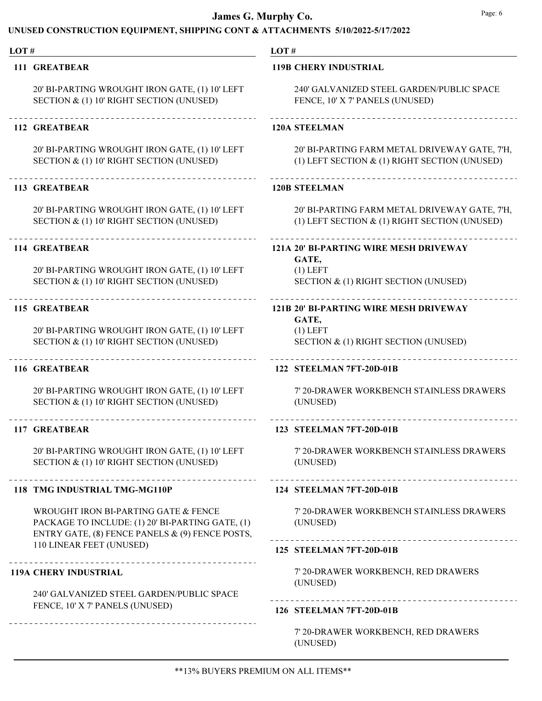#### UNUSED CONSTRUCTION EQUIPMENT, SHIPPING CONT & ATTACHMENTS 5/10/2022-5/17/2022

#### LOT # LOT # 111 GREATBEAR 119B CHERY INDUSTRIAL 240' GALVANIZED STEEL GARDEN/PUBLIC SPACE 20' BI-PARTING WROUGHT IRON GATE, (1) 10' LEFT SECTION & (1) 10' RIGHT SECTION (UNUSED) FENCE, 10' X 7' PANELS (UNUSED) 112 GREATBEAR 120A STEELMAN 20' BI-PARTING WROUGHT IRON GATE, (1) 10' LEFT 20' BI-PARTING FARM METAL DRIVEWAY GATE, 7'H, SECTION & (1) 10' RIGHT SECTION (UNUSED) (1) LEFT SECTION & (1) RIGHT SECTION (UNUSED) 113 GREATBEAR 120B STEELMAN 20' BI-PARTING WROUGHT IRON GATE, (1) 10' LEFT 20' BI-PARTING FARM METAL DRIVEWAY GATE, 7'H, SECTION & (1) 10' RIGHT SECTION (UNUSED) (1) LEFT SECTION & (1) RIGHT SECTION (UNUSED) 114 GREATBEAR 121A 20' BI-PARTING WIRE MESH DRIVEWAY GATE, 20' BI-PARTING WROUGHT IRON GATE, (1) 10' LEFT  $(1)$  LEFT SECTION & (1) 10' RIGHT SECTION (UNUSED) SECTION & (1) RIGHT SECTION (UNUSED) 115 GREATBEAR 121B 20' BI-PARTING WIRE MESH DRIVEWAY GATE, 20' BI-PARTING WROUGHT IRON GATE, (1) 10' LEFT (1) LEFT SECTION & (1) 10' RIGHT SECTION (UNUSED) SECTION & (1) RIGHT SECTION (UNUSED) 116 GREATBEAR 122 STEELMAN 7FT-20D-01B 20' BI-PARTING WROUGHT IRON GATE, (1) 10' LEFT 7' 20-DRAWER WORKBENCH STAINLESS DRAWERS SECTION & (1) 10' RIGHT SECTION (UNUSED) (UNUSED) 117 GREATBEAR 123 STEELMAN 7FT-20D-01B 20' BI-PARTING WROUGHT IRON GATE, (1) 10' LEFT 7' 20-DRAWER WORKBENCH STAINLESS DRAWERS SECTION & (1) 10' RIGHT SECTION (UNUSED) (UNUSED) 118 TMG INDUSTRIAL TMG-MG110P 124 STEELMAN 7FT-20D-01B WROUGHT IRON BI-PARTING GATE & FENCE 7' 20-DRAWER WORKBENCH STAINLESS DRAWERS (UNUSED) PACKAGE TO INCLUDE: (1) 20' BI-PARTING GATE, (1) ENTRY GATE, (8) FENCE PANELS & (9) FENCE POSTS, 110 LINEAR FEET (UNUSED) 125 STEELMAN 7FT-20D-01B 7' 20-DRAWER WORKBENCH, RED DRAWERS 119A CHERY INDUSTRIAL (UNUSED) 240' GALVANIZED STEEL GARDEN/PUBLIC SPACE FENCE, 10' X 7' PANELS (UNUSED) 126 STEELMAN 7FT-20D-01B 7' 20-DRAWER WORKBENCH, RED DRAWERS (UNUSED)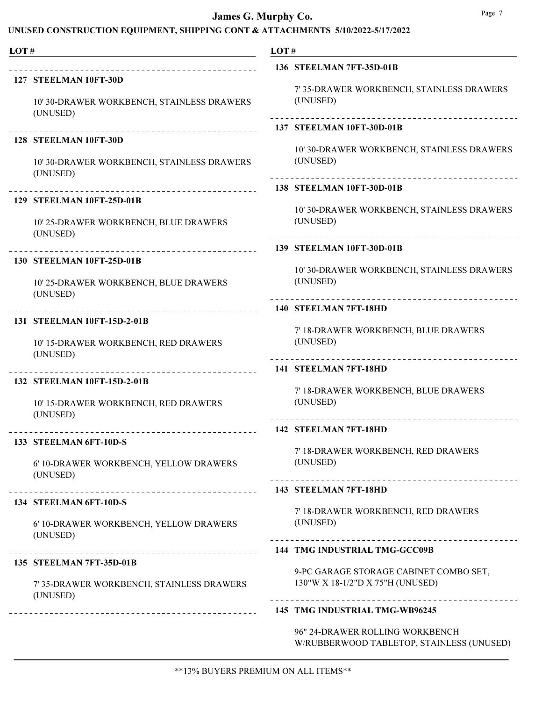#### UNUSED CONSTRUCTION EQUIPMENT, SHIPPING CONT & ATTACHMENTS 5/10/2022-5/17/2022

| LOT# | the control of the control of the control of the control of the control of        | LOT# |                                                                                     |
|------|-----------------------------------------------------------------------------------|------|-------------------------------------------------------------------------------------|
|      |                                                                                   |      | 136 STEELMAN 7FT-35D-01B                                                            |
|      | 127 STEELMAN 10FT-30D<br>10' 30-DRAWER WORKBENCH, STAINLESS DRAWERS<br>(UNUSED)   |      | 7' 35-DRAWER WORKBENCH, STAINLESS DRAWERS<br>(UNUSED)                               |
|      |                                                                                   |      | 137 STEELMAN 10FT-30D-01B                                                           |
|      | 128 STEELMAN 10FT-30D<br>10' 30-DRAWER WORKBENCH, STAINLESS DRAWERS<br>(UNUSED)   |      | 10' 30-DRAWER WORKBENCH, STAINLESS DRAWERS<br>(UNUSED)                              |
|      | ______________________________________                                            |      | 138 STEELMAN 10FT-30D-01B                                                           |
|      | 129 STEELMAN 10FT-25D-01B<br>10' 25-DRAWER WORKBENCH, BLUE DRAWERS<br>(UNUSED)    |      | 10' 30-DRAWER WORKBENCH, STAINLESS DRAWERS<br>(UNUSED)<br>_________________________ |
|      | -------------------------------------<br>130 STEELMAN 10FT-25D-01B                |      | 139 STEELMAN 10FT-30D-01B                                                           |
|      | 10' 25-DRAWER WORKBENCH, BLUE DRAWERS<br>(UNUSED)                                 |      | 10' 30-DRAWER WORKBENCH, STAINLESS DRAWERS<br>(UNUSED)                              |
|      |                                                                                   |      | 140 STEELMAN 7FT-18HD                                                               |
|      | 131 STEELMAN 10FT-15D-2-01B<br>10' 15-DRAWER WORKBENCH, RED DRAWERS<br>(UNUSED)   |      | 7' 18-DRAWER WORKBENCH, BLUE DRAWERS<br>(UNUSED)                                    |
|      | ------------------------------------                                              |      | 141 STEELMAN 7FT-18HD                                                               |
|      | 132 STEELMAN 10FT-15D-2-01B<br>10' 15-DRAWER WORKBENCH, RED DRAWERS<br>(UNUSED)   |      | 7' 18-DRAWER WORKBENCH, BLUE DRAWERS<br>(UNUSED)                                    |
|      |                                                                                   |      | 142 STEELMAN 7FT-18HD                                                               |
|      | 133 STEELMAN 6FT-10D-S<br>6' 10-DRAWER WORKBENCH, YELLOW DRAWERS<br>(UNUSED)      |      | 7' 18-DRAWER WORKBENCH, RED DRAWERS<br>(UNUSED)                                     |
|      | _____________________________                                                     |      | 143 STEELMAN 7FT-18HD                                                               |
|      | 134 STEELMAN 6FT-10D-S                                                            |      | 7' 18-DRAWER WORKBENCH, RED DRAWERS                                                 |
|      | 6' 10-DRAWER WORKBENCH, YELLOW DRAWERS<br>(UNUSED)                                |      | (UNUSED)                                                                            |
|      |                                                                                   |      | <b>144 TMG INDUSTRIAL TMG-GCC09B</b>                                                |
|      | 135 STEELMAN 7FT-35D-01B<br>7' 35-DRAWER WORKBENCH, STAINLESS DRAWERS<br>(UNUSED) |      | 9-PC GARAGE STORAGE CABINET COMBO SET,<br>130"W X 18-1/2"D X 75"H (UNUSED)          |
|      | ___________________________________                                               |      | 145 TMG INDUSTRIAL TMG-WB96245                                                      |
|      |                                                                                   |      | 96" 24-DRAWER ROLLING WORKBENCH                                                     |

W/RUBBERWOOD TABLETOP, STAINLESS (UNUSED)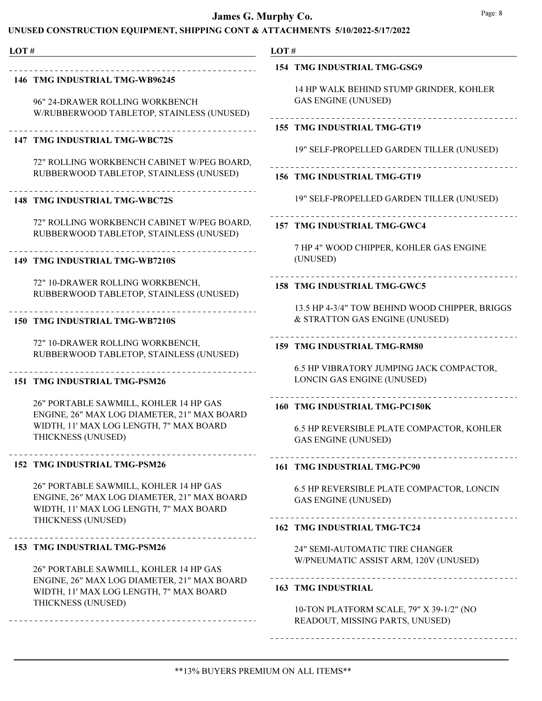#### UNUSED CONSTRUCTION EQUIPMENT, SHIPPING CONT & ATTACHMENTS 5/10/2022-5/17/2022

### LOT # LOT # 146 TMG INDUSTRIAL TMG-WB96245 96" 24-DRAWER ROLLING WORKBENCH W/RUBBERWOOD TABLETOP, STAINLESS (UNUSED) 147 TMG INDUSTRIAL TMG-WBC72S 72" ROLLING WORKBENCH CABINET W/PEG BOARD, RUBBERWOOD TABLETOP, STAINLESS (UNUSED) 148 TMG INDUSTRIAL TMG-WBC72S 72" ROLLING WORKBENCH CABINET W/PEG BOARD, RUBBERWOOD TABLETOP, STAINLESS (UNUSED) 149 TMG INDUSTRIAL TMG-WB7210S 72" 10-DRAWER ROLLING WORKBENCH, RUBBERWOOD TABLETOP, STAINLESS (UNUSED) 150 TMG INDUSTRIAL TMG-WB7210S 72" 10-DRAWER ROLLING WORKBENCH, RUBBERWOOD TABLETOP, STAINLESS (UNUSED) 151 TMG INDUSTRIAL TMG-PSM26 26" PORTABLE SAWMILL, KOHLER 14 HP GAS ENGINE, 26" MAX LOG DIAMETER, 21" MAX BOARD WIDTH, 11' MAX LOG LENGTH, 7" MAX BOARD THICKNESS (UNUSED) 152 TMG INDUSTRIAL TMG-PSM26 26" PORTABLE SAWMILL, KOHLER 14 HP GAS ENGINE, 26" MAX LOG DIAMETER, 21" MAX BOARD WIDTH, 11' MAX LOG LENGTH, 7" MAX BOARD THICKNESS (UNUSED) 153 TMG INDUSTRIAL TMG-PSM26 26" PORTABLE SAWMILL, KOHLER 14 HP GAS

ENGINE, 26" MAX LOG DIAMETER, 21" MAX BOARD WIDTH, 11' MAX LOG LENGTH, 7" MAX BOARD THICKNESS (UNUSED)

#### 154 TMG INDUSTRIAL TMG-GSG9

14 HP WALK BEHIND STUMP GRINDER, KOHLER GAS ENGINE (UNUSED)

### 155 TMG INDUSTRIAL TMG-GT19

19" SELF-PROPELLED GARDEN TILLER (UNUSED)

### 156 TMG INDUSTRIAL TMG-GT19

19" SELF-PROPELLED GARDEN TILLER (UNUSED)

#### 157 TMG INDUSTRIAL TMG-GWC4

7 HP 4" WOOD CHIPPER, KOHLER GAS ENGINE (UNUSED)

#### 158 TMG INDUSTRIAL TMG-GWC5

13.5 HP 4-3/4" TOW BEHIND WOOD CHIPPER, BRIGGS & STRATTON GAS ENGINE (UNUSED)

#### 159 TMG INDUSTRIAL TMG-RM80

6.5 HP VIBRATORY JUMPING JACK COMPACTOR, LONCIN GAS ENGINE (UNUSED)

#### 160 TMG INDUSTRIAL TMG-PC150K

6.5 HP REVERSIBLE PLATE COMPACTOR, KOHLER GAS ENGINE (UNUSED)

#### 161 TMG INDUSTRIAL TMG-PC90

6.5 HP REVERSIBLE PLATE COMPACTOR, LONCIN GAS ENGINE (UNUSED)

#### 162 TMG INDUSTRIAL TMG-TC24

24" SEMI-AUTOMATIC TIRE CHANGER W/PNEUMATIC ASSIST ARM, 120V (UNUSED)

#### 163 TMG INDUSTRIAL

10-TON PLATFORM SCALE, 79" X 39-1/2" (NO READOUT, MISSING PARTS, UNUSED)